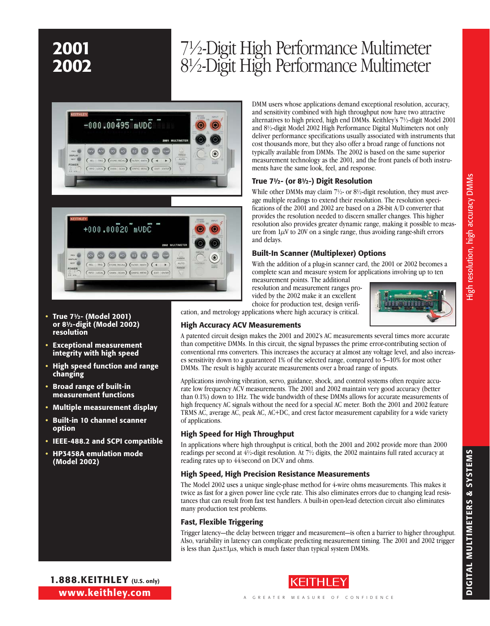### 2001 7½-Digit High Performance Multimeter 2002 8½-Digit High Performance Multimeter





- • True 7½- (Model 2001) or 8½-digit (Model 2002) resolution
- **Exceptional measurement** integrity with high speed
- High speed function and range changing
- • Broad range of built-in measurement functions
- Multiple measurement display
- • Built-in 10 channel scanner option
- • IEEE-488.2 and SCPI compatible
- • HP3458A emulation mode (Model 2002)

DMM users whose applications demand exceptional resolution, accuracy, and sensitivity combined with high throughput now have two attractive alternatives to high priced, high end DMMs. Keithley's 7½-digit Model 2001 and 8½-digit Model 2002 High Performance Digital Multimeters not only deliver performance specifications usually associated with instruments that cost thousands more, but they also offer a broad range of functions not typically available from DMMs. The 2002 is based on the same superior measurement technology as the 2001, and the front panels of both instruments have the same look, feel, and response.

### True 7½- (or 8½-) Digit Resolution

While other DMMs may claim 7<sup>1</sup>/<sub>2</sub>- or 8<sup>1</sup>/<sub>2</sub>-digit resolution, they must average multiple readings to extend their resolution. The resolution specifications of the 2001 and 2002 are based on a 28-bit A/D converter that provides the resolution needed to discern smaller changes. This higher resolution also provides greater dynamic range, making it possible to measure from  $1\mu$ V to 20V on a single range, thus avoiding range-shift errors and delays.

### Built-In Scanner (Multiplexer) Options

With the addition of a plug-in scanner card, the 2001 or 2002 becomes a complete scan and measure system for applications involving up to ten

measurement points. The additional resolution and measurement ranges provided by the 2002 make it an excellent choice for production test, design verifi-



cation, and metrology applications where high accuracy is critical.

### High Accuracy ACV Measurements

A patented circuit design makes the 2001 and 2002's AC measurements several times more accurate than competitive DMMs. In this circuit, the signal bypasses the prime error-contributing section of conventional rms converters. This increases the accuracy at almost any voltage level, and also increases sensitivity down to a guaranteed 1% of the selected range, compared to 5–10% for most other DMMs. The result is highly accurate measurements over a broad range of inputs.

Applications involving vibration, servo, guidance, shock, and control systems often require accurate low frequency ACV measurements. The 2001 and 2002 maintain very good accuracy (better than 0.1%) down to 1Hz. The wide bandwidth of these DMMs allows for accurate measurements of high frequency AC signals without the need for a special AC meter. Both the 2001 and 2002 feature TRMS AC, average AC, peak AC, AC+DC, and crest factor measurement capability for a wide variety of applications.

### High Speed for High Throughput

In applications where high throughput is critical, both the 2001 and 2002 provide more than 2000 readings per second at 4½-digit resolution. At 7½ digits, the 2002 maintains full rated accuracy at reading rates up to 44/second on DCV and ohms.

### High Speed, High Precision Resistance Measurements

The Model 2002 uses a unique single-phase method for 4-wire ohms measurements. This makes it twice as fast for a given power line cycle rate. This also eliminates errors due to changing lead resistances that can result from fast test handlers. A built-in open-lead detection circuit also eliminates many production test problems.

### Fast, Flexible Triggering

Trigger latency—the delay between trigger and measurement—is often a barrier to higher throughput. Also, variability in latency can complicate predicting measurement timing. The 2001 and 2002 trigger is less than  $2\mu s \pm 1\mu s$ , which is much faster than typical system DMMs.

1.888.KEITHLEY (U.S. only) www.keithley.com Digit



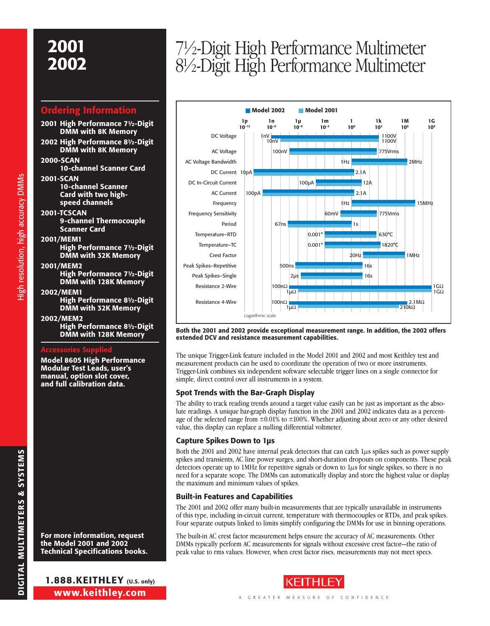## 2001

### Ordering Information

- 2001 High Performance 7½-Digit DMM with 8K Memory
- 2002 High Performance 8½-Digit DMM with 8K Memory
- 2000-SCAN 10-channel Scanner Card
- 2001-SCAN 10-channel Scanner Card with two highspeed channels
- 2001-TCSCAN 9-channel Thermocouple Scanner Card

### 2001/MEM1

High resolution, high accuracy DMMs High resolution, high accuracy DMMs

- High Performance 7½-Digit DMM with 32K Memory
- 2001/MEM2 High Performance 7½-Digit
- DMM with 128K Memory 2002/MEM1
	- High Performance 8½-Digit DMM with 32K Memory

### 2002/MEM2 High Performance 8½-Digit DMM with 128K Memory

### Accessories Supplied

Model 8605 High Performance Modular Test Leads, user's manual, option slot cover, and full calibration data.

For more information, request the Model 2001 and 2002 Technical Specifications books.

# <sup>2002</sup> 7½-Digit High Performance Multimeter 8½-Digit High Performance Multimeter



Both the 2001 and 2002 provide exceptional measurement range. In addition, the 2002 offers extended DCV and resistance measurement capabilities.

The unique Trigger-Link feature included in the Model 2001 and 2002 and most Keithley test and measurement products can be used to coordinate the operation of two or more instruments. Trigger-Link combines six independent software selectable trigger lines on a single connector for simple, direct control over all instruments in a system.

### Spot Trends with the Bar-Graph Display

The ability to track reading trends around a target value easily can be just as important as the absolute readings. A unique bar-graph display function in the 2001 and 2002 indicates data as a percentage of the selected range from  $\pm 0.01\%$  to  $\pm 100\%$ . Whether adjusting about zero or any other desired value, this display can replace a nulling differential voltmeter.

### Capture Spikes Down to 1µs

Both the 2001 and 2002 have internal peak detectors that can catch  $1\mu s$  spikes such as power supply spikes and transients, AC line power surges, and short-duration dropouts on components. These peak detectors operate up to 1MHz for repetitive signals or down to  $1\mu$ s for single spikes, so there is no need for a separate scope. The DMMs can automatically display and store the highest value or display the maximum and minimum values of spikes.

### Built-in Features and Capabilities

The 2001 and 2002 offer many built-in measurements that are typically unavailable in instruments of this type, including in-circuit current, temperature with thermocouples or RTDs, and peak spikes. Four separate outputs linked to limits simplify configuring the DMMs for use in binning operations.

The built-in AC crest factor measurement helps ensure the accuracy of AC measurements. Other DMMs typically perform AC measurements for signals without excessive crest factor—the ratio of peak value to rms values. However, when crest factor rises, measurements may not meet specs.

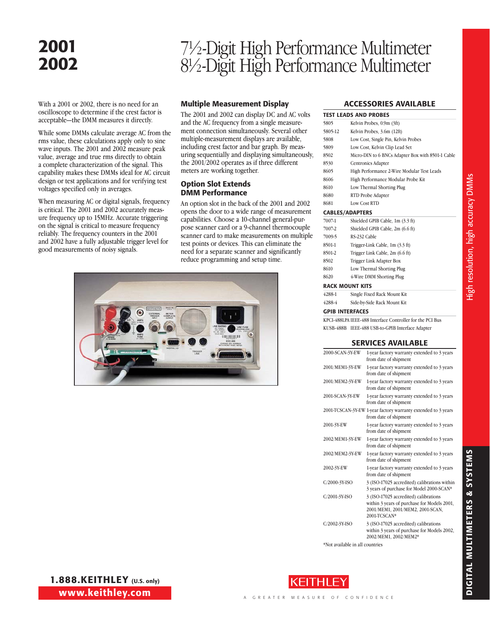### 2001

# <sup>2002</sup> 7½-Digit High Performance Multimeter 8½-Digit High Performance Multimeter

With a 2001 or 2002, there is no need for an oscilloscope to determine if the crest factor is acceptable—the DMM measures it directly.

While some DMMs calculate average AC from the rms value, these calculations apply only to sine wave inputs. The 2001 and 2002 measure peak value, average and true rms directly to obtain a complete characterization of the signal. This capability makes these DMMs ideal for AC circuit design or test applications and for verifying test voltages specified only in averages.

When measuring AC or digital signals, frequency is critical. The 2001 and 2002 accurately measure frequency up to 15MHz. Accurate triggering on the signal is critical to measure frequency reliably. The frequency counters in the 2001 and 2002 have a fully adjustable trigger level for good measurements of noisy signals.

### Multiple Measurement Display

The 2001 and 2002 can display DC and AC volts and the AC frequency from a single measurement connection simultaneously. Several other multiple-measurement displays are available, including crest factor and bar graph. By measuring sequentially and displaying simultaneously, the 2001/2002 operates as if three different meters are working together.

### Option Slot Extends DMM Performance

An option slot in the back of the 2001 and 2002 opens the door to a wide range of measurement capabilities. Choose a 10-channel general-purpose scanner card or a 9-channel thermocouple scanner card to make measurements on multiple test points or devices. This can eliminate the need for a separate scanner and significantly reduce programming and setup time.



### Accessories Available

|         | <b>TEST LEADS AND PROBES</b>                      |
|---------|---------------------------------------------------|
| 5805    | Kelvin Probes, 0.9m (3ft)                         |
| 5805-12 | Kelvin Probes, 3.6m (12ft)                        |
| 5808    | Low Cost, Single Pin, Kelvin Probes               |
| 5809    | Low Cost, Kelvin Clip Lead Set                    |
| 8502    | Micro-DIN to 6 BNCs Adapter Box with 8501-1 Cable |
| 8530    | Centronics Adapter                                |
| 8605    | High Performance 2-Wire Modular Test Leads        |
| 8606    | High Performance Modular Probe Kit                |
| 8610    | Low Thermal Shorting Plug                         |
| 8680    | RTD Probe Adapter                                 |
| 8681    | Low Cost RTD                                      |
|         | <b>CABLES/ADAPTERS</b>                            |
| 7007-1  | Shielded GPIB Cable, 1m (3.3 ft)                  |
| 7007-2  | Shielded GPIB Cable, 2m (6.6 ft)                  |
| 7009-5  | RS-232 Cable                                      |
| 8501-1  | Trigger-Link Cable, 1m (3.3 ft)                   |
| 8501-2  | Trigger Link Cable, 2m (6.6 ft)                   |
| 8502    | Trigger Link Adapter Box                          |
| 8610    | Low Thermal Shorting Plug                         |
| 8620    | 4-Wire DMM Shorting Plug                          |
|         | <b>RACK MOUNT KITS</b>                            |
| 4288-1  | Single Fixed Rack Mount Kit                       |
| 4288-4  | Side-by-Side Rack Mount Kit                       |

### GPIB Interfaces

KPCI-488LPA IEEE-488 Interface Controller for the PCI Bus KUSB-488B IEEE-488 USB-to-GPIB Interface Adapter

### Services Available

| 2000-SCAN-3Y-EW | 1-year factory warranty extended to 3 years<br>from date of shipment                                                                     |
|-----------------|------------------------------------------------------------------------------------------------------------------------------------------|
| 2001/MEM1-3Y-EW | 1-year factory warranty extended to 3 years<br>from date of shipment                                                                     |
| 2001/MEM2-3Y-EW | 1-year factory warranty extended to 3 years<br>from date of shipment                                                                     |
| 2001-SCAN-3Y-EW | 1-year factory warranty extended to 3 years<br>from date of shipment                                                                     |
|                 | 2001-TCSCAN-3Y-EW 1-year factory warranty extended to 3 years<br>from date of shipment                                                   |
| 2001-3Y-EW      | 1-year factory warranty extended to 3 years<br>from date of shipment                                                                     |
| 2002/MEM1-3Y-EW | 1-year factory warranty extended to 3 years<br>from date of shipment                                                                     |
| 2002/MEM2-3Y-EW | 1-year factory warranty extended to 3 years<br>from date of shipment                                                                     |
| 2002-3Y-EW      | 1-year factory warranty extended to 3 years<br>from date of shipment                                                                     |
| C/2000-3Y-ISO   | 3 (ISO-17025 accredited) calibrations within<br>3 years of purchase for Model 2000-SCAN*                                                 |
| C/2001-3Y-ISO   | 3 (ISO-17025 accredited) calibrations<br>within 3 years of purchase for Models 2001,<br>2001/MEM1, 2001/MEM2, 2001-SCAN,<br>2001-TCSCAN* |
| C/2002-3Y-ISO   | 3 (ISO-17025 accredited) calibrations<br>within 3 years of purchase for Models 2002,<br>2002/MEM1, 2002/MEM2*                            |

\*Not available in all countries

al Multimete r s & SYSTEMS

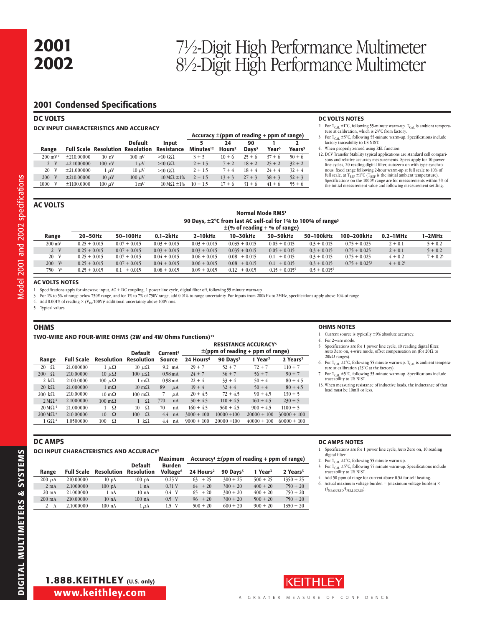## <sup>2002</sup> 7½-Digit High Performance Multimeter 8½-Digit High Performance Multimeter

### 2001 Condensed Specifications

| <b>DC VOLTS</b>    |                                        |                                         |                |                              |                                                |                          |                         |                   |                         |  |  |  |  |  |  |
|--------------------|----------------------------------------|-----------------------------------------|----------------|------------------------------|------------------------------------------------|--------------------------|-------------------------|-------------------|-------------------------|--|--|--|--|--|--|
|                    | DCV INPUT CHARACTERISTICS AND ACCURACY |                                         |                |                              |                                                |                          |                         |                   |                         |  |  |  |  |  |  |
|                    |                                        |                                         |                |                              | Accuracy $\pm$ (ppm of reading + ppm of range) |                          |                         |                   |                         |  |  |  |  |  |  |
| Range              |                                        | <b>Full Scale Resolution Resolution</b> | <b>Default</b> | Input<br>Resistance          | 5<br>Minutes <sup>12</sup>                     | 24<br>Hours <sup>2</sup> | 90<br>Days <sup>3</sup> | Year <sup>3</sup> | 2<br>Years <sup>3</sup> |  |  |  |  |  |  |
| $200 \text{ mV}^4$ | ±210,00000                             | 10 <sub>nV</sub>                        | $100$ nV       | $>10$ G $\Omega$             | $3 + 3$                                        | $10 + 6$                 | $25 + 6$                | $37 + 6$          | $50 + 6$                |  |  |  |  |  |  |
| V<br>$\mathbf{2}$  | $\pm 2.1000000$                        | $100 \text{ nV}$                        | $1 \mu V$      | $>10$ G $\Omega$             | $2 + 1.5$                                      | $7 + 2$                  | $18 + 2$                | $25 + 2$          | $32 + 2$                |  |  |  |  |  |  |
| 20 V               | ±21,000000                             | $1 \mu V$                               | $10 \mu V$     | $>10$ GQ                     | $2 + 1.5$                                      | $7 + 4$                  | $18 + 4$                | $24 + 4$          | $32 + 4$                |  |  |  |  |  |  |
| 200 V              | ±210,00000                             | $10 \mu V$                              | $100 \mu V$    | $10 \text{ M}\Omega \pm 1\%$ | $2 + 1.5$                                      | $13 + 3$                 | $27 + 3$                | $38 + 3$          | $52 + 3$                |  |  |  |  |  |  |
| 1000<br>V          | ±1100.0000                             | $100 \mu V$                             | $1 \text{ mV}$ | $10 \text{ M}\Omega \pm 1\%$ | $10 + 1.5$                                     | $17 + 6$                 | $31 + 6$                | $41 + 6$          | $55 + 6$                |  |  |  |  |  |  |

#### DC VOLTS NOTES

- 2. For T<sub>CAL</sub>  $\pm 1^{\circ}$ C, following 55-minute warm-up. T<sub>CAL</sub> is ambient tempera-<br>ture at calibration, which is 23<sup>°</sup>C from factory.
- 3. For  $T_{\text{CAL}} \pm 5^{\circ}C$ , following 55-minute warm-up. Specifications include factory traceability to US NIST.
- 4. When properly zeroed using REL function.
- 12. DCV Transfer Stability typical applications are standard cell comparisons and relative accuracy measurements. Specs apply for 10 power line cycles, 20-reading digital filter, autozero on with type synchronous, fixed range following 2-hour warm-up at full scale to 10% of full scale, at  $T_{REF} \pm 1^{\circ}C$  ( $T_{REF}$  is the initial ambient temperature). Specifications on the 1000V range are for measurements within 5% of the initial measurement value and following measurement settling.

| Normal Mode RMS <sup>1</sup>                                             |
|--------------------------------------------------------------------------|
| 90 Days, ±2°C from last AC self-cal for 1% to 100% of range <sup>3</sup> |
| $\pm$ (% of reading + % of range)                                        |

|                     |                |                |                |                | ---             | - -            |                 |                  |               |            |
|---------------------|----------------|----------------|----------------|----------------|-----------------|----------------|-----------------|------------------|---------------|------------|
| Range               | $20-50$ Hz     | 50-100Hz       | $0.1 - 2k$ Hz  | $2-10kHz$      | 10-30kHz        | 30-50kHz       | 50-100kHz       | 100-200kHz       | $0.2 - 1$ MHz | 1-2MHz     |
| $200 \text{ mV}$    | $0.25 + 0.015$ | $0.07 + 0.015$ | $0.03 + 0.015$ | $0.03 + 0.015$ | $0.035 + 0.015$ | $0.05 + 0.015$ | $0.3 + 0.015$   | $0.75 + 0.025$   | $2 + 0.1$     | $5 + 0.2$  |
| 2 V                 | $0.25 + 0.015$ | $0.07 + 0.015$ | $0.03 + 0.015$ | $0.03 + 0.015$ | $0.035 + 0.015$ | $0.05 + 0.015$ | $0.3 + 0.015$   | $0.75 + 0.025$   | $2 + 0.1$     | $5 + 0.2$  |
| 20 V                | $0.25 + 0.015$ | $0.07 + 0.015$ | $0.04 + 0.015$ | $0.06 + 0.015$ | $0.08 + 0.015$  | $0.1 + 0.015$  | $0.3 + 0.015$   | $0.75 + 0.025$   | $4 + 0.2$     | $7 + 0.25$ |
| $200 \, \text{V}^4$ | $0.25 + 0.015$ | $0.07 + 0.015$ | $0.04 + 0.015$ | $0.06 + 0.015$ | $0.08 + 0.015$  | $0.1 + 0.015$  | $0.3 + 0.015$   | $0.75 + 0.025^5$ | $4 + 0.25$    |            |
| 750 V <sup>4</sup>  | $0.25 + 0.015$ | $0.1 + 0.015$  | $0.08 + 0.015$ | $0.09 + 0.015$ | $0.12 + 0.015$  | $0.15 + 0.015$ | $0.5 + 0.015^5$ |                  |               |            |
|                     |                |                |                |                |                 |                |                 |                  |               |            |

### AC VOLTS NOTES

1. Specifications apply for sinewave input, AC + DC coupling, 1 power line cycle, digital filter off, following 55 minute warm-up.

3. For 1% to 5% of range below 750V range, and for 1% to 7% of 750V range, add 0.01% to range uncertainty. For inputs from 200kHz to 2MHz, specifications apply above 10% of range.

4. Add 0.001% of reading  $\times$  (V<sub>IN</sub>/100V)<sup>2</sup> additional uncertainty above 100V rms.

5. Typical values.

### **OHMS**

| TWO-WIRE AND FOUR-WIRE OHMS (2W and 4W Ohms Functions) <sup>13</sup> |  |
|----------------------------------------------------------------------|--|
|                                                                      |  |

|                                       |                   |                       | <b>Default</b>        | Current <sup>1</sup> | <b>RESISTANCE ACCURACY<sup>5</sup></b><br>$\pm$ (ppm of reading + ppm of range) |                      |                     |                      |  |
|---------------------------------------|-------------------|-----------------------|-----------------------|----------------------|---------------------------------------------------------------------------------|----------------------|---------------------|----------------------|--|
| Range                                 | <b>Full Scale</b> | <b>Resolution</b>     | <b>Resolution</b>     | Source               | 24 Hours <sup>6</sup>                                                           | 90 Days <sup>7</sup> | 1 Year <sup>7</sup> | 2 Years <sup>7</sup> |  |
| $\Omega$<br>20                        | 21.000000         | $1 \mu\Omega$         | $10 \mu\Omega$        | $9.2$ mA             | $29 + 7$                                                                        | $52 + 7$             | $72 + 7$            | $110 + 7$            |  |
| $\Omega$<br>200                       | 210.00000         | $10 \mu\Omega$        | 100 $\mu\Omega$       | $0.98 \text{ mA}$    | $24 + 7$                                                                        | $36 + 7$             | $56 + 7$            | $90 + 7$             |  |
| 2 k $\Omega$                          | 2100.0000         | $100 \mu\Omega$       | $1 \text{ m}\Omega$   | 0.98 <sub>m</sub> A  | $22 + 4$                                                                        | $33 + 4$             | $50 + 4$            | $80 + 4.5$           |  |
| $20 \text{ k}\Omega$                  | 21,000000         | $1 \text{ m}\Omega$   | $10 \text{ m}\Omega$  | 89<br>$\mu$ A        | $19 + 4$                                                                        | $32 + 4$             | $50 + 4$            | $80 + 4.5$           |  |
| $200 \text{ k}\Omega$                 | 210.00000         | $10 \text{ m}\Omega$  | $100 \text{ m}\Omega$ | μA                   | $20 + 4.5$                                                                      | $72 + 4.5$           | $90 + 4.5$          | $130 + 5$            |  |
| $2 M\Omega$ <sup>4</sup>              | 2.1000000         | $100 \text{ m}\Omega$ | Ω<br>1                | 770<br>nA            | $50 + 4.5$                                                                      | $110 + 4.5$          | $160 + 4.5$         | $230 + 5$            |  |
| $20 \text{ M}\Omega$ <sup>4</sup>     | 21.000000         | Ω                     | Ω<br>10               | 70<br>n <sub>A</sub> | $160 + 4.5$                                                                     | $560 + 4.5$          | $900 + 4.5$         | $1100 + 5$           |  |
| $200 \,\mathrm{M}\Omega$ <sup>4</sup> | 210.00000         | Ω<br>10               | 100<br>Ω              | 4.4<br>nA            | $3000 + 100$                                                                    | $10000 + 100$        | $20000 + 100$       | $30000 + 100$        |  |
| $1 \text{ G}\Omega$ <sup>4</sup>      | 1.0500000         | Ω<br>100              | 1 k $\Omega$          | $4.4$ nA             | $9000 + 100$                                                                    | $20000 + 100$        | $40000 + 100$       | $60000 + 100$        |  |

#### OHMS NOTES

1. Current source is typically ±9% absolute accuracy.

- 4. For 2-wire mode.
- 5. Specifications are for 1 power line cycle, 10 reading digital filter, Auto Zero on, 4-wire mode, offset compensation on (for 20 $\Omega$  to  $20k\Omega$  ranges).
- 6. For T<sub>CAL</sub>  $\pm 1^{\circ}$ C, following 55 minute warm-up. T<sub>CAL</sub> is ambient temperature at calibration (23<sup>°</sup>C at the factory).
- 7. For  $T_{CAL} \pm 5^{\circ}C$ , following 55-minute warm-up. Specifications include traceability to US NIST.
- 13. When measuring resistance of inductive loads, the inductance of that load must be 10mH or less.

### DC AMPS

#### DCI INPUT CHARACTERISTICS AND ACCURACY4

|                  |                   |                  |                              | Maximum                               |                       |                        | $Accuracy1 \pm (ppm of reading + ppm of range)$ |                      |  |
|------------------|-------------------|------------------|------------------------------|---------------------------------------|-----------------------|------------------------|-------------------------------------------------|----------------------|--|
| Range            | <b>Full Scale</b> | Resolution       | <b>Default</b><br>Resolution | <b>Burden</b><br>Voltage <sup>6</sup> | 24 Hours <sup>2</sup> | $90$ Davs <sup>3</sup> | 1 Year <sup>3</sup>                             | 2 Years <sup>3</sup> |  |
| $200 \mu A$      | 210.00000         | 10 <sub>pA</sub> | $100\ \mathrm{pA}$           | 0.25V                                 | $63 + 25$             | $300 + 25$             | $500 + 25$                                      | $1350 + 25$          |  |
| $2 \text{ mA}$   | 2.1000000         | $100 \text{ pA}$ | 1 nA                         | 0.31V                                 | $64 + 20$             | $300 + 20$             | $400 + 20$                                      | $750 + 20$           |  |
| $20 \text{ mA}$  | 21.000000         | 1 nA             | 10 <sub>nA</sub>             | $0.4$ V                               | $65 + 20$             | $300 + 20$             | $400 + 20$                                      | $750 + 20$           |  |
| $200 \text{ mA}$ | 210,00000         | 10 <sub>nA</sub> | $100$ nA                     | $0.5$ V                               | $96 + 20$             | $300 + 20$             | $500 + 20$                                      | $750 + 20$           |  |
| 2 A              | 2.1000000         | $100 \text{ nA}$ | 1 μ.Α                        | $1.5$ V                               | $500 + 20$            | $600 + 20$             | $900 + 20$                                      | $1350 + 20$          |  |

#### DC AMPS NOTES

- 1. Specifications are for 1 power line cycle, Auto Zero on, 10 reading digital filter
- 2. For  $T_{\rm CAL} \pm 1^{\circ}C$ , following 55 minute warm-up.
- 3. For  $T_{\text{CAL}}$  ±5°C, following 55 minute warm-up. Specifications include traceability to US NIST.
- 4. Add 50 ppm of range for current above 0.5A for self heating.
- 6. Actual maximum voltage burden = (maximum voltage burden)  $\times$  $(I_{MEASURED}/I_{FULL SCALE}).$



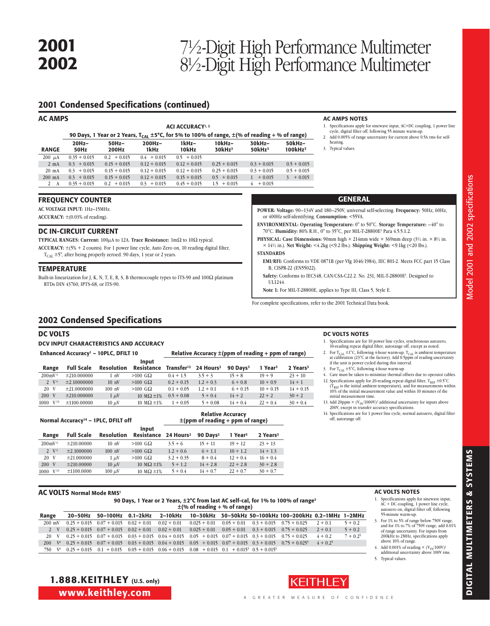## <sup>2002</sup> 7½-Digit High Performance Multimeter 8½-Digit High Performance Multimeter

### 2001 Condensed Specifications (continued)

| <b>AC AMPS</b>  |                 |                   |                   | <b>ACI ACCURACY</b> <sup>1, 2</sup> | 90 Days, 1 Year or 2 Years, $T_{CA1}$ ±5°C, for 5% to 100% of range, $\pm$ (% of reading + % of range) |                     |                         | <b>AC AMPS NOTES</b><br>1. Specifications apply for sinewave input, AC+DC coupling, 1 power line<br>cycle, digital filter off, following 55 minute warm-up.<br>2. Add 0.005% of range uncertainty for current above 0.5A rms for self- |
|-----------------|-----------------|-------------------|-------------------|-------------------------------------|--------------------------------------------------------------------------------------------------------|---------------------|-------------------------|----------------------------------------------------------------------------------------------------------------------------------------------------------------------------------------------------------------------------------------|
| <b>RANGE</b>    | $20Hz-$<br>50Hz | $50Hz -$<br>200Hz | $200Hz -$<br>1kHz | 1kHz-<br>10kHz                      | $10kHz-$<br>30kHz <sup>3</sup>                                                                         | 30kHz-<br>$50kHz^3$ | 50kHz-<br>$100$ kHz $3$ | heating.<br>3. Typical values.                                                                                                                                                                                                         |
| $200 \mu A$     | $0.35 + 0.015$  | $0.2 + 0.015$     | $0.4 + 0.015$     | $0.5 + 0.015$                       |                                                                                                        |                     |                         |                                                                                                                                                                                                                                        |
| $2 \text{ mA}$  | $0.3 + 0.015$   | $0.15 + 0.015$    | $0.12 + 0.015$    | $0.12 + 0.015$                      | $0.25 + 0.015$                                                                                         | $0.3 + 0.015$       | $0.5 + 0.015$           |                                                                                                                                                                                                                                        |
| $20 \text{ mA}$ | $0.3 + 0.015$   | $0.15 + 0.015$    | $0.12 + 0.015$    | $0.12 + 0.015$                      | $0.25 + 0.015$                                                                                         | $0.3 + 0.015$       | $0.5 + 0.015$           |                                                                                                                                                                                                                                        |
| $200$ mA        | $0.3 + 0.015$   | $0.15 + 0.015$    | $0.12 + 0.015$    | $0.15 + 0.015$                      | $0.5 + 0.015$                                                                                          | $+0.015$            | $3 + 0.015$             |                                                                                                                                                                                                                                        |
| 2 A             | $0.35 + 0.015$  | $0.2 + 0.015$     | $0.3 + 0.015$     | $0.45 + 0.015$                      | $1.5 + 0.015$                                                                                          | $4+0.015$           |                         |                                                                                                                                                                                                                                        |

### FREQUENCY COUNTER

**AC Voltage Input:** 1Hz–15MHz.

**ACCURACY:** ±(0.03% of reading).

### DC IN-CIRCUIT CURRENT

**TYPICAL RANGES: Current:**  $100\mu$ A to 12A. **Trace Resistance:**  $1\text{m}\Omega$  to  $10\Omega$  typical. **Accuracy:** ±(5% + 2 counts). For 1 power line cycle, Auto Zero on, 10 reading digital filter,

 $T_{\text{CAL}}$  ±5°, after being properly zeroed. 90 days, 1 year or 2 years.

### **TEMPERATURE**

Built-in linearization for J, K, N, T, E, R, S, B thermocouple types to ITS-90 and  $100\Omega$  platinum RTDs DIN 43760, IPTS-68, or ITS-90.

### GENERAL

- **POWER: Voltage:** 90–134V and 180–250V, universal self-selecting. **Frequency:** 50Hz, 60Hz, or 400Hz self-identifying. **Consumption:** <55VA.
- **ENVIRONMENTAL: Operating Temperature:** 0° to 50°C. **Storage Temperature:** –40° to 70°C. **Humidity:** 80% R.H., 0° to 35°C, per MIL-T-28800E1 Para 4.5.5.1.2.
- **PHYSICAL: Case Dimensions:** 90mm high  $\times$  214mm wide  $\times$  369mm deep (3½ in.  $\times$  8½ in. × 14½ in.). **Net Weight:** <4.2kg (<9.2 lbs.). **Shipping Weight:** <9.1kg (<20 lbs.).

#### **STANDARDS**

**EMI/RFI:** Conforms to VDE 0871B (per Vfg 1046/1984), IEC 801-2. Meets FCC part 15 Class B, CISPR-22 (EN55022).

Safety: Conforms to IEC348, CAN/CSA-C22.2. No. 231, MIL-T-28800E<sup>1</sup>. Designed to UL1244.

**Note 1:** For MIL-T-28800E, applies to Type III, Class 5, Style E.

For complete specifications, refer to the 2001 Technical Data book.

### 2002 Condensed Specifications

### DC VOLTS

### DCV Input Characteristics and Accuracy Enhanced Accuracy<sup>1</sup> – 10PLC, DFILT 10 Relative Accuracy  $\pm$  (ppm of reading + ppm of range)

|                         |                   |                  | Input             |              |                                              |                      |                     |                      |
|-------------------------|-------------------|------------------|-------------------|--------------|----------------------------------------------|----------------------|---------------------|----------------------|
| Range                   | <b>Full Scale</b> | Resolution       | Resistance        |              | Transfer <sup>12</sup> 24 Hours <sup>2</sup> | 90 Davs <sup>3</sup> | 1 Year <sup>3</sup> | 2 Years <sup>3</sup> |
| $200 \text{ mV}^4$      | ±210.000000       | $1 \nw$          | $>100$ GQ         | $0.4 + 1.5$  | $3.5 + 3$                                    | $15 + 8$             | $19 + 9$            | $23 + 10$            |
| 2 $V^4$                 | ±2.10000000       | $10 \text{ nV}$  | $>100$ G $\Omega$ | $0.2 + 0.15$ | $1.2 + 0.3$                                  | $6 + 0.8$            | $10 + 0.9$          | $14 + 1$             |
| 20 V                    | ±21.0000000       | $100 \text{ nV}$ | $>100$ G $\Omega$ | $0.1 + 0.05$ | $1.2 + 0.1$                                  | $6 + 0.15$           | $10 + 0.15$         | $14 + 0.15$          |
| 200 V                   | ±210.000000       | $1 \mu V$        | 10 M $\Omega$ ±1% | $0.5 + 0.08$ | $5 + 0.4$                                    | $14 + 2$             | $22 + 2$            | $30 + 2$             |
| V <sup>13</sup><br>1000 | ±1100.00000       | $10 \mu V$       | 10 M $\Omega$ ±1% | $1 + 0.05$   | $5 + 0.08$                                   | $14 + 0.4$           | $22 + 0.4$          | $30 + 0.4$           |

| <b>Relative Accuracy</b>              |
|---------------------------------------|
| $\pm$ (ppm of reading + ppm of range) |
|                                       |

| Range             | <b>Full Scale</b> | <b>Resolution</b> | <br>Resistance 24 Hours <sup>2</sup> |              | 90 Davs <sup>3</sup> | 1 Year <sup>3</sup> | 2 Years <sup>3</sup> |
|-------------------|-------------------|-------------------|--------------------------------------|--------------|----------------------|---------------------|----------------------|
| $200 \text{mV}^4$ | $\pm 210,00000$   | 10 <sub>nV</sub>  | $>100$ G $\Omega$                    | $3.5 + 6$    | $15 + 11$            | $19 + 12$           | $23 + 13$            |
| $2 \sqrt{4}$      | ±2.1000000        | $100 \text{ nV}$  | $>100$ GQ                            | $1.2 + 0.6$  | $6 + 1.1$            | $10 + 1.2$          | $14 + 1.3$           |
| 20 V              | $\pm 21.000000$   | $1 \mu V$         | $>100$ G $\Omega$                    | $3.2 + 0.35$ | $8 + 0.4$            | $12 + 0.4$          | $16 + 0.4$           |
| 200 V             | $\pm 210,00000$   | $10 \mu V$        | 10 M $\Omega$ ±1%                    | $5 + 1.2$    | $14 + 2.8$           | $22 + 2.8$          | $30 + 2.8$           |
| $1000 \tV13$      | ±1100.0000        | $100 \mu V$       | 10 $M\Omega$ ±1%                     | $5 + 0.4$    | $14 + 0.7$           | $22 + 0.7$          | $30 + 0.7$           |

Input

### **AC VOLTS Normal Mode RMS1**

Normal Accuracy14 – 1PLC, DFILT off

1.888.KEITHLEY (U.S. only)

|       | 90 Days, 1 Year or 2 Years, $\pm 2^{\circ}$ C from last AC self-cal, for 1% to 100% of range <sup>3</sup><br>$\pm$ (% of reading + % of range) |  |                                                                            |  |  |                                                                                                                                                      |  |  |                                                                                          |            |            |
|-------|------------------------------------------------------------------------------------------------------------------------------------------------|--|----------------------------------------------------------------------------|--|--|------------------------------------------------------------------------------------------------------------------------------------------------------|--|--|------------------------------------------------------------------------------------------|------------|------------|
| Range |                                                                                                                                                |  |                                                                            |  |  |                                                                                                                                                      |  |  | 20-50Hz 50-100Hz 0.1-2kHz 2-10kHz 10-30kHz 30-50kHz 50-100kHz 100-200kHz 0.2-1MHz 1-2MHz |            |            |
|       |                                                                                                                                                |  | $200 \text{ mV}$ $0.25 + 0.015$ $0.07 + 0.015$ $0.02 + 0.01$ $0.02 + 0.01$ |  |  |                                                                                                                                                      |  |  | $0.025 + 0.01$ $0.05 + 0.01$ $0.3 + 0.015$ $0.75 + 0.025$ $2 + 0.1$                      |            | $5 + 0.2$  |
| 2 V   |                                                                                                                                                |  |                                                                            |  |  | $0.25 + 0.015$ $0.07 + 0.015$ $0.02 + 0.01$ $0.02 + 0.01$ $0.025 + 0.01$ $0.05 + 0.01$ $0.3 + 0.015$ $0.75 + 0.025$                                  |  |  |                                                                                          | $2 + 0.1$  | $5 + 0.2$  |
| 20 V  |                                                                                                                                                |  |                                                                            |  |  | $0.25 + 0.015$ $0.07 + 0.015$ $0.03 + 0.015$ $0.04 + 0.015$ $0.05 + 0.015$ $0.07 + 0.015$ $0.3 + 0.015$ $0.75 + 0.025$                               |  |  |                                                                                          | $4 + 0.2$  | $7 + 0.25$ |
|       |                                                                                                                                                |  |                                                                            |  |  | 200 $V_1^4$ 0.25 + 0.015 0.07 + 0.015 0.03 + 0.015 0.04 + 0.015 0.05 + 0.015 0.07 + 0.015 0.3 + 0.015 0.75 + 0.025 <sup>5</sup>                      |  |  |                                                                                          | $4 + 0.25$ |            |
|       |                                                                                                                                                |  |                                                                            |  |  | $750$ V <sup>4</sup> $0.25 + 0.015$ $0.1 + 0.015$ $0.05 + 0.015$ $0.06 + 0.015$ $0.08 + 0.015$ $0.1 + 0.015$ <sup>5</sup> $0.5 + 0.015$ <sup>5</sup> |  |  |                                                                                          |            |            |

55-minute warm-up.

**AC VOLTS NOTES** 

- 3. For 1% to 5% of range below 750V range, and for 1% to 7% of 750V range, add 0.01% of range uncertainty. For inputs from 200kHz to 2MHz, specifications apply above 10% of range.
- 4. Add 0.001% of reading  $\times$  (V<sub>IN</sub>/100V)<sup>2</sup><br>additional uncertainty above 100V rms. 5. Typical values.

Model 2001 and 2002 specifications Model 2001 and 2002 specifications

1. Specifications apply for sinewave input, AC + DC coupling, 1 power line cycle, autozero on, digital filter off, following

www.keithley.com Digit





- DC VOLTS NOTES
- 1. Specifications are for 10 power line cycles, synchronous autozero, 10-reading repeat digital filter, autorange off, except as noted.
- 2. For  $T_{CAL} \pm 1^{\circ}C$ , following 4-hour warm-up.  $T_{CAL}$  is ambient temperature at calibration (23°C at the factory). Add 0.5ppm of reading uncertainty if the unit is power cycled during this interval.
- 3. For  $T_{\text{CAL}} \pm 5^{\circ}C$ , following 4-hour warm-up.
- 4. Care must be taken to minimize thermal offsets due to operator cables. 12. Specifications apply for 20-reading repeat digital filter,  $T_{REF} \pm 0.5^{\circ}C$  ( $T_{REF}$  is the initial ambient temperature), and for measurements within  $(T_{REF}$  is the initial ambient temperature), and for measurements within 10% of the initial measurement value and within 10 minutes of the
- initial measurement time. 13. Add 20ppm  $\times$  (V $_{\rm IN}$ /1000V) $^2$  additional uncertainty for inputs above
- 200V, except in transfer accuracy specifications. 14. Specifications are for 1 power line cycle, normal autozero, digital filter off, autorange off.